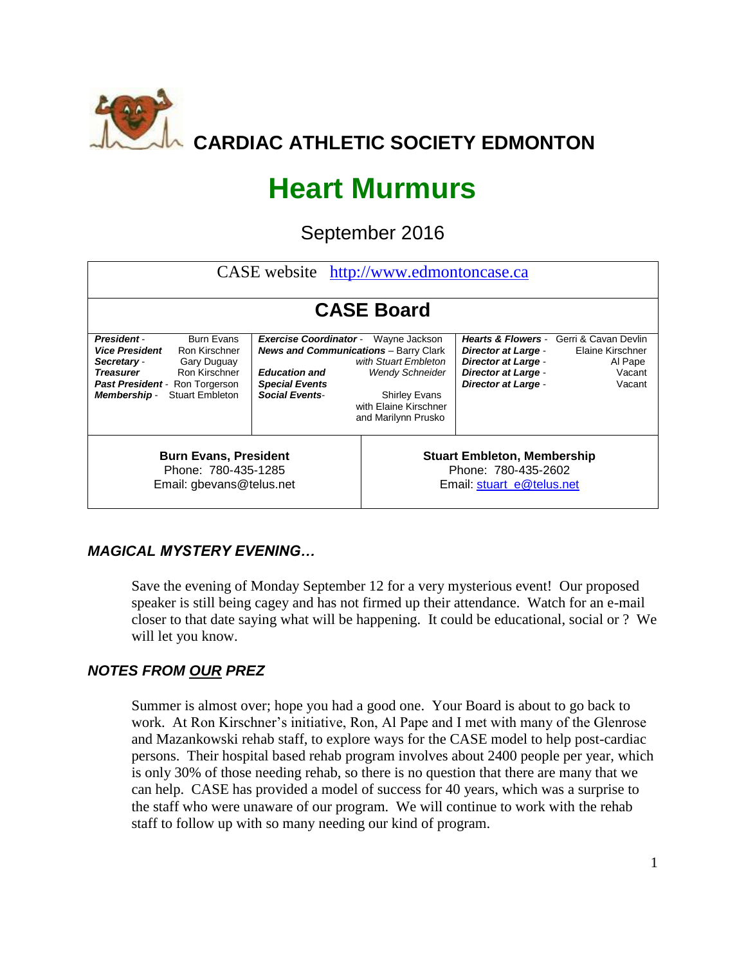

# **Heart Murmurs**

September 2016

| CASE website http://www.edmontoncase.ca                                                                                                                                                                                               |                                                                                                                                                         |                                                                                                                                         |                                                                                                                      |                                                                                                           |  |  |  |  |  |  |
|---------------------------------------------------------------------------------------------------------------------------------------------------------------------------------------------------------------------------------------|---------------------------------------------------------------------------------------------------------------------------------------------------------|-----------------------------------------------------------------------------------------------------------------------------------------|----------------------------------------------------------------------------------------------------------------------|-----------------------------------------------------------------------------------------------------------|--|--|--|--|--|--|
|                                                                                                                                                                                                                                       |                                                                                                                                                         |                                                                                                                                         |                                                                                                                      |                                                                                                           |  |  |  |  |  |  |
| <b>CASE Board</b>                                                                                                                                                                                                                     |                                                                                                                                                         |                                                                                                                                         |                                                                                                                      |                                                                                                           |  |  |  |  |  |  |
| <b>Burn Evans</b><br><b>President-</b><br><b>Vice President</b><br>Ron Kirschner<br>Secretary -<br>Gary Duguay<br><b>Treasurer</b><br>Ron Kirschner<br>Past President - Ron Torgerson<br><b>Stuart Embleton</b><br><b>Membership-</b> | <b>Exercise Coordinator -</b><br><b>News and Communications</b> - Barry Clark<br><b>Education and</b><br><b>Special Events</b><br><b>Social Events-</b> | Wayne Jackson<br>with Stuart Embleton<br><b>Wendy Schneider</b><br><b>Shirley Evans</b><br>with Elaine Kirschner<br>and Marilynn Prusko | <b>Director at Large -</b><br><b>Director at Large -</b><br><b>Director at Large -</b><br><b>Director at Large -</b> | <b>Hearts &amp; Flowers - Gerri &amp; Cavan Devlin</b><br>Elaine Kirschner<br>Al Pape<br>Vacant<br>Vacant |  |  |  |  |  |  |
| <b>Burn Evans, President</b><br>Phone: 780-435-1285<br>Email: gbevans@telus.net                                                                                                                                                       |                                                                                                                                                         | <b>Stuart Embleton, Membership</b><br>Phone: 780-435-2602<br>Email: stuart_e@telus.net                                                  |                                                                                                                      |                                                                                                           |  |  |  |  |  |  |

## *MAGICAL MYSTERY EVENING…*

Save the evening of Monday September 12 for a very mysterious event! Our proposed speaker is still being cagey and has not firmed up their attendance. Watch for an e-mail closer to that date saying what will be happening. It could be educational, social or ? We will let you know.

## *NOTES FROM OUR PREZ*

Summer is almost over; hope you had a good one. Your Board is about to go back to work. At Ron Kirschner's initiative, Ron, Al Pape and I met with many of the Glenrose and Mazankowski rehab staff, to explore ways for the CASE model to help post-cardiac persons. Their hospital based rehab program involves about 2400 people per year, which is only 30% of those needing rehab, so there is no question that there are many that we can help. CASE has provided a model of success for 40 years, which was a surprise to the staff who were unaware of our program. We will continue to work with the rehab staff to follow up with so many needing our kind of program.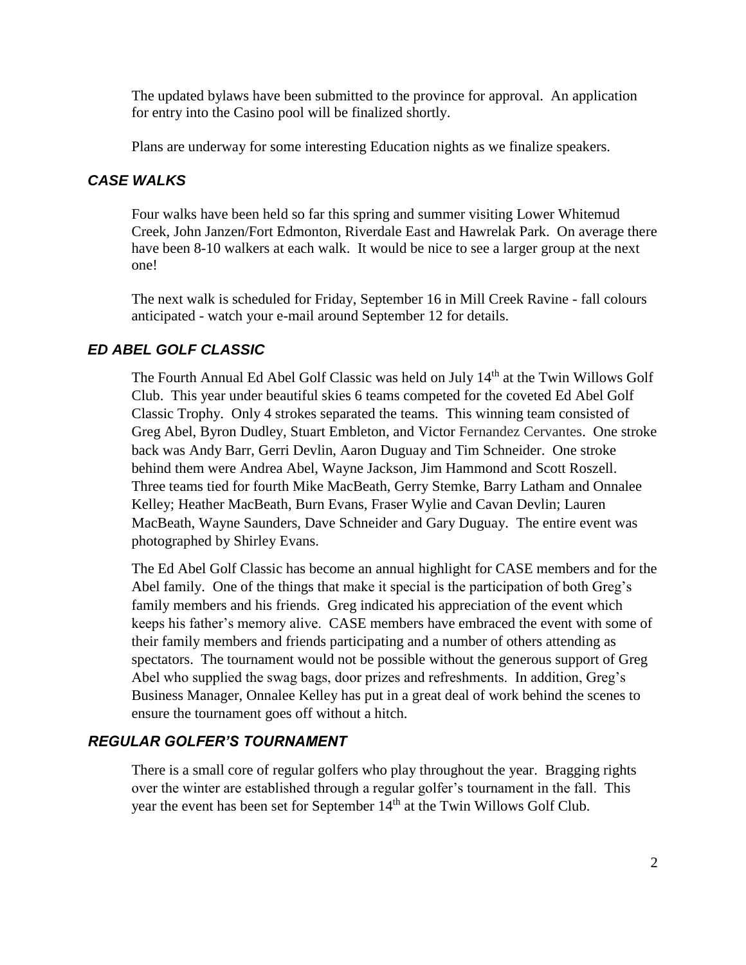The updated bylaws have been submitted to the province for approval. An application for entry into the Casino pool will be finalized shortly.

Plans are underway for some interesting Education nights as we finalize speakers.

### *CASE WALKS*

Four walks have been held so far this spring and summer visiting Lower Whitemud Creek, John Janzen/Fort Edmonton, Riverdale East and Hawrelak Park. On average there have been 8-10 walkers at each walk. It would be nice to see a larger group at the next one!

The next walk is scheduled for Friday, September 16 in Mill Creek Ravine - fall colours anticipated - watch your e-mail around September 12 for details.

## *ED ABEL GOLF CLASSIC*

The Fourth Annual Ed Abel Golf Classic was held on July 14<sup>th</sup> at the Twin Willows Golf Club. This year under beautiful skies 6 teams competed for the coveted Ed Abel Golf Classic Trophy. Only 4 strokes separated the teams. This winning team consisted of Greg Abel, Byron Dudley, Stuart Embleton, and Victor Fernandez Cervantes. One stroke back was Andy Barr, Gerri Devlin, Aaron Duguay and Tim Schneider. One stroke behind them were Andrea Abel, Wayne Jackson, Jim Hammond and Scott Roszell. Three teams tied for fourth Mike MacBeath, Gerry Stemke, Barry Latham and Onnalee Kelley; Heather MacBeath, Burn Evans, Fraser Wylie and Cavan Devlin; Lauren MacBeath, Wayne Saunders, Dave Schneider and Gary Duguay. The entire event was photographed by Shirley Evans.

The Ed Abel Golf Classic has become an annual highlight for CASE members and for the Abel family. One of the things that make it special is the participation of both Greg's family members and his friends. Greg indicated his appreciation of the event which keeps his father's memory alive. CASE members have embraced the event with some of their family members and friends participating and a number of others attending as spectators. The tournament would not be possible without the generous support of Greg Abel who supplied the swag bags, door prizes and refreshments. In addition, Greg's Business Manager, Onnalee Kelley has put in a great deal of work behind the scenes to ensure the tournament goes off without a hitch.

## *REGULAR GOLFER'S TOURNAMENT*

There is a small core of regular golfers who play throughout the year. Bragging rights over the winter are established through a regular golfer's tournament in the fall. This year the event has been set for September 14<sup>th</sup> at the Twin Willows Golf Club.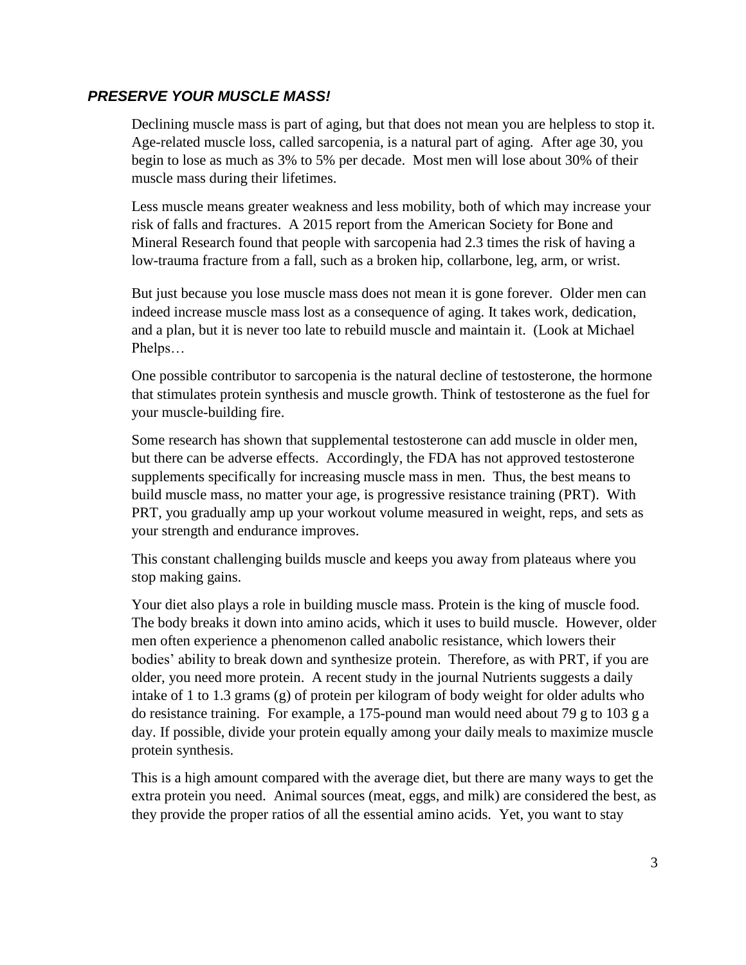#### *PRESERVE YOUR MUSCLE MASS!*

Declining muscle mass is part of aging, but that does not mean you are helpless to stop it. Age-related muscle loss, called sarcopenia, is a natural part of aging. After age 30, you begin to lose as much as 3% to 5% per decade. Most men will lose about 30% of their muscle mass during their lifetimes.

Less muscle means greater weakness and less mobility, both of which may increase your risk of falls and fractures. A 2015 report from the American Society for Bone and Mineral Research found that people with sarcopenia had 2.3 times the risk of having a low-trauma fracture from a fall, such as a broken hip, collarbone, leg, arm, or wrist.

But just because you lose muscle mass does not mean it is gone forever. Older men can indeed increase muscle mass lost as a consequence of aging. It takes work, dedication, and a plan, but it is never too late to rebuild muscle and maintain it. (Look at Michael Phelps…

One possible contributor to sarcopenia is the natural decline of testosterone, the hormone that stimulates protein synthesis and muscle growth. Think of testosterone as the fuel for your muscle-building fire.

Some research has shown that supplemental testosterone can add muscle in older men, but there can be adverse effects. Accordingly, the FDA has not approved testosterone supplements specifically for increasing muscle mass in men. Thus, the best means to build muscle mass, no matter your age, is progressive resistance training (PRT). With PRT, you gradually amp up your workout volume measured in weight, reps, and sets as your strength and endurance improves.

This constant challenging builds muscle and keeps you away from plateaus where you stop making gains.

Your diet also plays a role in building muscle mass. Protein is the king of muscle food. The body breaks it down into amino acids, which it uses to build muscle. However, older men often experience a phenomenon called anabolic resistance, which lowers their bodies' ability to break down and synthesize protein. Therefore, as with PRT, if you are older, you need more protein. A recent study in the journal Nutrients suggests a daily intake of 1 to 1.3 grams (g) of protein per kilogram of body weight for older adults who do resistance training. For example, a 175-pound man would need about 79 g to 103 g a day. If possible, divide your protein equally among your daily meals to maximize muscle protein synthesis.

This is a high amount compared with the average diet, but there are many ways to get the extra protein you need. Animal sources (meat, eggs, and milk) are considered the best, as they provide the proper ratios of all the essential amino acids. Yet, you want to stay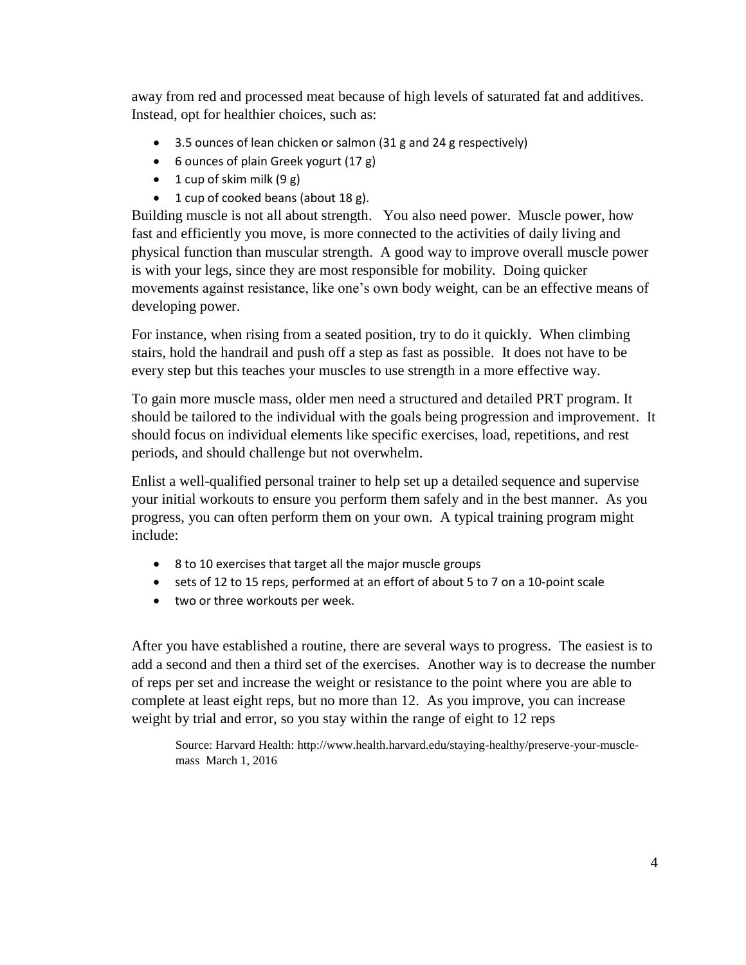away from red and processed meat because of high levels of saturated fat and additives. Instead, opt for healthier choices, such as:

- 3.5 ounces of lean chicken or salmon (31 g and 24 g respectively)
- 6 ounces of plain Greek yogurt (17 g)
- $\bullet$  1 cup of skim milk (9 g)
- 1 cup of cooked beans (about 18 g).

Building muscle is not all about strength. You also need power. Muscle power, how fast and efficiently you move, is more connected to the activities of daily living and physical function than muscular strength. A good way to improve overall muscle power is with your legs, since they are most responsible for mobility. Doing quicker movements against resistance, like one's own body weight, can be an effective means of developing power.

For instance, when rising from a seated position, try to do it quickly. When climbing stairs, hold the handrail and push off a step as fast as possible. It does not have to be every step but this teaches your muscles to use strength in a more effective way.

To gain more muscle mass, older men need a structured and detailed PRT program. It should be tailored to the individual with the goals being progression and improvement. It should focus on individual elements like specific exercises, load, repetitions, and rest periods, and should challenge but not overwhelm.

Enlist a well-qualified personal trainer to help set up a detailed sequence and supervise your initial workouts to ensure you perform them safely and in the best manner. As you progress, you can often perform them on your own. A typical training program might include:

- 8 to 10 exercises that target all the major muscle groups
- sets of 12 to 15 reps, performed at an effort of about 5 to 7 on a 10-point scale
- two or three workouts per week.

After you have established a routine, there are several ways to progress. The easiest is to add a second and then a third set of the exercises. Another way is to decrease the number of reps per set and increase the weight or resistance to the point where you are able to complete at least eight reps, but no more than 12. As you improve, you can increase weight by trial and error, so you stay within the range of eight to 12 reps

Source: Harvard Health: [http://www.health.harvard.edu/staying-healthy/preserve-your-muscle](http://www.health.harvard.edu/staying-healthy/preserve-your-muscle-mass)[mass](http://www.health.harvard.edu/staying-healthy/preserve-your-muscle-mass) March 1, 2016